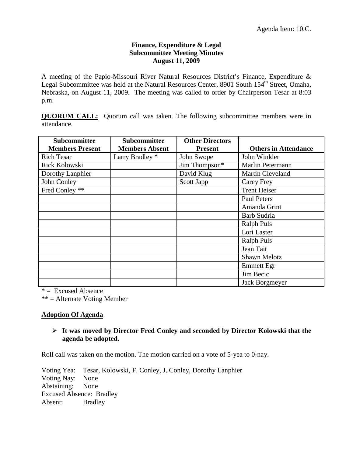## **Finance, Expenditure & Legal Subcommittee Meeting Minutes August 11, 2009**

A meeting of the Papio-Missouri River Natural Resources District's Finance, Expenditure & Legal Subcommittee was held at the Natural Resources Center, 8901 South  $154^{\text{th}}$  Street, Omaha, Nebraska, on August 11, 2009. The meeting was called to order by Chairperson Tesar at 8:03 p.m.

**QUORUM CALL:** Quorum call was taken. The following subcommittee members were in attendance.

| Subcommittee           | <b>Subcommittee</b>        | <b>Other Directors</b> |                             |
|------------------------|----------------------------|------------------------|-----------------------------|
| <b>Members Present</b> | <b>Members Absent</b>      | <b>Present</b>         | <b>Others in Attendance</b> |
| <b>Rich Tesar</b>      | Larry Bradley <sup>*</sup> | John Swope             | John Winkler                |
| Rick Kolowski          |                            | Jim Thompson*          | Marlin Petermann            |
| Dorothy Lanphier       |                            | David Klug             | <b>Martin Cleveland</b>     |
| John Conley            |                            | Scott Japp             | Carey Frey                  |
| Fred Conley **         |                            |                        | <b>Trent Heiser</b>         |
|                        |                            |                        | Paul Peters                 |
|                        |                            |                        | Amanda Grint                |
|                        |                            |                        | Barb Sudrla                 |
|                        |                            |                        | <b>Ralph Puls</b>           |
|                        |                            |                        | Lori Laster                 |
|                        |                            |                        | <b>Ralph Puls</b>           |
|                        |                            |                        | Jean Tait                   |
|                        |                            |                        | Shawn Melotz                |
|                        |                            |                        | <b>Emmett Egr</b>           |
|                        |                            |                        | Jim Becic                   |
|                        |                            |                        | Jack Borgmeyer              |

 $* =$  Excused Absence

\*\* = Alternate Voting Member

# **Adoption Of Agenda**

# **It was moved by Director Fred Conley and seconded by Director Kolowski that the agenda be adopted.**

Roll call was taken on the motion. The motion carried on a vote of 5-yea to 0-nay.

Voting Yea: Tesar, Kolowski, F. Conley, J. Conley, Dorothy Lanphier Voting Nay: None Abstaining: None Excused Absence: Bradley Absent: Bradley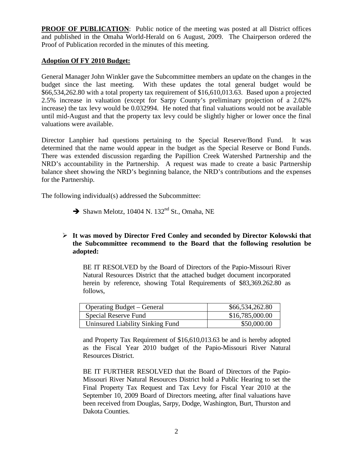**PROOF OF PUBLICATION:** Public notice of the meeting was posted at all District offices and published in the Omaha World-Herald on 6 August, 2009. The Chairperson ordered the Proof of Publication recorded in the minutes of this meeting.

## **Adoption Of FY 2010 Budget:**

General Manager John Winkler gave the Subcommittee members an update on the changes in the budget since the last meeting. With these updates the total general budget would be \$66,534,262.80 with a total property tax requirement of \$16,610,013.63. Based upon a projected 2.5% increase in valuation (except for Sarpy County's preliminary projection of a 2.02% increase) the tax levy would be 0.032994. He noted that final valuations would not be available until mid-August and that the property tax levy could be slightly higher or lower once the final valuations were available.

Director Lanphier had questions pertaining to the Special Reserve/Bond Fund. It was determined that the name would appear in the budget as the Special Reserve or Bond Funds. There was extended discussion regarding the Papillion Creek Watershed Partnership and the NRD's accountability in the Partnership. A request was made to create a basic Partnership balance sheet showing the NRD's beginning balance, the NRD's contributions and the expenses for the Partnership.

The following individual(s) addressed the Subcommittee:

 $\rightarrow$  Shawn Melotz, 10404 N. 132<sup>nd</sup> St., Omaha, NE

# **It was moved by Director Fred Conley and seconded by Director Kolowski that the Subcommittee recommend to the Board that the following resolution be adopted:**

BE IT RESOLVED by the Board of Directors of the Papio-Missouri River Natural Resources District that the attached budget document incorporated herein by reference, showing Total Requirements of \$83,369.262.80 as follows,

| <b>Operating Budget – General</b> | \$66,534,262.80 |
|-----------------------------------|-----------------|
| Special Reserve Fund              | \$16,785,000.00 |
| Uninsured Liability Sinking Fund  | \$50,000.00     |

and Property Tax Requirement of \$16,610,013.63 be and is hereby adopted as the Fiscal Year 2010 budget of the Papio-Missouri River Natural Resources District.

BE IT FURTHER RESOLVED that the Board of Directors of the Papio-Missouri River Natural Resources District hold a Public Hearing to set the Final Property Tax Request and Tax Levy for Fiscal Year 2010 at the September 10, 2009 Board of Directors meeting, after final valuations have been received from Douglas, Sarpy, Dodge, Washington, Burt, Thurston and Dakota Counties.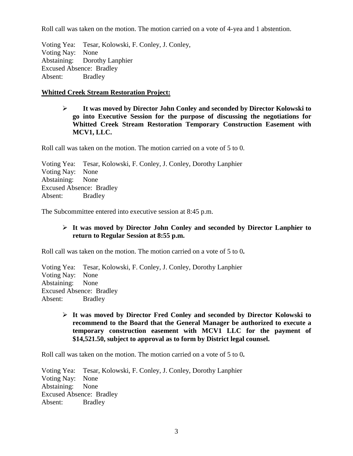Roll call was taken on the motion. The motion carried on a vote of 4-yea and 1 abstention.

Voting Yea: Tesar, Kolowski, F. Conley, J. Conley, Voting Nay: None Abstaining: Dorothy Lanphier Excused Absence: Bradley Absent: Bradley

## **Whitted Creek Stream Restoration Project:**

 **It was moved by Director John Conley and seconded by Director Kolowski to go into Executive Session for the purpose of discussing the negotiations for Whitted Creek Stream Restoration Temporary Construction Easement with MCV1, LLC.**

Roll call was taken on the motion. The motion carried on a vote of 5 to 0.

Voting Yea: Tesar, Kolowski, F. Conley, J. Conley, Dorothy Lanphier Voting Nay: None Abstaining: None Excused Absence: Bradley Absent: Bradley

The Subcommittee entered into executive session at 8:45 p.m.

# **It was moved by Director John Conley and seconded by Director Lanphier to return to Regular Session at 8:55 p.m.**

Roll call was taken on the motion. The motion carried on a vote of 5 to 0**.** 

Voting Yea: Tesar, Kolowski, F. Conley, J. Conley, Dorothy Lanphier Voting Nay: None Abstaining: None Excused Absence: Bradley Absent: Bradley

 **It was moved by Director Fred Conley and seconded by Director Kolowski to recommend to the Board that the General Manager be authorized to execute a temporary construction easement with MCV1 LLC for the payment of \$14,521.50, subject to approval as to form by District legal counsel.**

Roll call was taken on the motion. The motion carried on a vote of 5 to 0**.** 

Voting Yea: Tesar, Kolowski, F. Conley, J. Conley, Dorothy Lanphier Voting Nay: None Abstaining: None Excused Absence: Bradley Absent: Bradley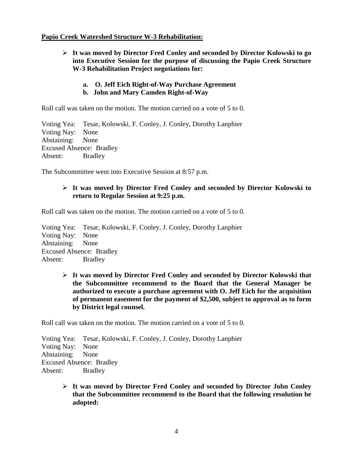#### **Papio Creek Watershed Structure W-3 Rehabilitation:**

- **It was moved by Director Fred Conley and seconded by Director Kolowski to go into Executive Session for the purpose of discussing the Papio Creek Structure W-3 Rehabilitation Project negotiations for:** 
	- **a. O. Jeff Eich Right-of-Way Purchase Agreement**
	- **b. John and Mary Camden Right-of-Way**

Roll call was taken on the motion. The motion carried on a vote of 5 to 0.

Voting Yea: Tesar, Kolowski, F. Conley, J. Conley, Dorothy Lanphier Voting Nay: None Abstaining: None Excused Absence: Bradley Absent: Bradley

The Subcommittee went into Executive Session at 8:57 p.m.

# **It was moved by Director Fred Conley and seconded by Director Kolowski to return to Regular Session at 9:25 p.m.**

Roll call was taken on the motion. The motion carried on a vote of 5 to 0.

Voting Yea: Tesar, Kolowski, F. Conley, J. Conley, Dorothy Lanphier Voting Nay: None Abstaining: None Excused Absence: Bradley Absent: Bradley

> **It was moved by Director Fred Conley and seconded by Director Kolowski that the Subcommittee recommend to the Board that the General Manager be authorized to execute a purchase agreement with O. Jeff Eich for the acquisition of permanent easement for the payment of \$2,500, subject to approval as to form by District legal counsel.**

Roll call was taken on the motion. The motion carried on a vote of 5 to 0.

Voting Yea: Tesar, Kolowski, F. Conley, J. Conley, Dorothy Lanphier Voting Nay: None Abstaining: None Excused Absence: Bradley Absent: Bradley

> **It was moved by Director Fred Conley and seconded by Director John Conley that the Subcommittee recommend to the Board that the following resolution be adopted:**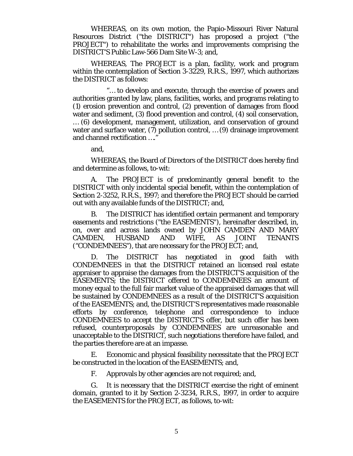WHEREAS, on its own motion, the Papio-Missouri River Natural Resources District ("the DISTRICT") has proposed a project ("the PROJECT") to rehabilitate the works and improvements comprising the DISTRICT'S Public Law-566 Dam Site W-3; and,

WHEREAS, The PROJECT is a plan, facility, work and program within the contemplation of Section 3-3229, R.R.S., 1997, which authorizes the DISTRICT as follows:

"… to develop and execute, through the exercise of powers and authorities granted by law, plans, facilities, works, and programs relating to (1) erosion prevention and control, (2) prevention of damages from flood water and sediment, (3) flood prevention and control, (4) soil conservation, … (6) development, management, utilization, and conservation of ground

water and surface water, (7) pollution control, ... (9) drainage improvement and channel rectification …."

and,

WHEREAS, the Board of Directors of the DISTRICT does hereby find and determine as follows, to-wit:

A. The PROJECT is of predominantly general benefit to the DISTRICT with only incidental special benefit, within the contemplation of Section 2-3252, R.R.S., 1997; and therefore the PROJECT should be carried out with any available funds of the DISTRICT; and,

B. The DISTRICT has identified certain permanent and temporary easements and restrictions ("the EASEMENTS"), hereinafter described, in, on, over and across lands owned by JOHN CAMDEN AND MARY<br>CAMDEN, HUSBAND AND WIFE, AS JOINT TENANTS CAMDEN, HUSBAND AND WIFE, AS JOINT TENANTS ("CONDEMNEES"), that are necessary for the PROJECT; and,

D. The DISTRICT has negotiated in good faith with CONDEMNEES in that the DISTRICT retained an licensed real estate appraiser to appraise the damages from the DISTRICT'S acquisition of the EASEMENTS; the DISTRICT offered to CONDEMNEES an amount of money equal to the full fair market value of the appraised damages that will be sustained by CONDEMNEES as a result of the DISTRICT'S acquisition of the EASEMENTS; and, the DISTRICT'S representatives made reasonable efforts by conference, telephone and correspondence to induce CONDEMNEES to accept the DISTRICT'S offer, but such offer has been refused, counterproposals by CONDEMNEES are unreasonable and unacceptable to the DISTRICT, such negotiations therefore have failed, and the parties therefore are at an impasse.

E. Economic and physical feasibility necessitate that the PROJECT be constructed in the location of the EASEMENTS; and,

F. Approvals by other agencies are not required; and,

G. It is necessary that the DISTRICT exercise the right of eminent domain, granted to it by Section 2-3234, R.R.S., 1997, in order to acquire the EASEMENTS for the PROJECT, as follows, to-wit: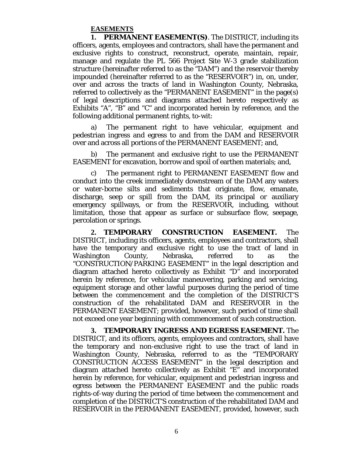#### **EASEMENTS**

**1. PERMANENT EASEMENT(S)**. The DISTRICT, including its officers, agents, employees and contractors, shall have the permanent and exclusive rights to construct, reconstruct, operate, maintain, repair, manage and regulate the PL 566 Project Site W-3 grade stabilization structure (hereinafter referred to as the "DAM") and the reservoir thereby impounded (hereinafter referred to as the "RESERVOIR") in, on, under, over and across the tracts of land in Washington County, Nebraska, referred to collectively as the "PERMANENT EASEMENT" in the page(s) of legal descriptions and diagrams attached hereto respectively as Exhibits "A", "B" and "C" and incorporated herein by reference, and the following additional permanent rights, to-wit:

a) The permanent right to have vehicular, equipment and pedestrian ingress and egress to and from the DAM and RESERVOIR over and across all portions of the PERMANENT EASEMENT; and,

b) The permanent and exclusive right to use the PERMANENT EASEMENT for excavation, borrow and spoil of earthen materials; and,

c) The permanent right to PERMANENT EASEMENT flow and conduct into the creek immediately downstream of the DAM any waters or water-borne silts and sediments that originate, flow, emanate, discharge, seep or spill from the DAM, its principal or auxiliary emergency spillways, or from the RESERVOIR, including, without limitation, those that appear as surface or subsurface flow, seepage, percolation or springs.

**2. TEMPORARY CONSTRUCTION EASEMENT.** The DISTRICT, including its officers, agents, employees and contractors, shall have the temporary and exclusive right to use the tract of land in Washington County, Nebraska, referred to as the "CONSTRUCTION/PARKING EASEMENT" in the legal description and diagram attached hereto collectively as Exhibit "D" and incorporated herein by reference, for vehicular maneuvering, parking and servicing, equipment storage and other lawful purposes during the period of time between the commencement and the completion of the DISTRICT'S construction of the rehabilitated DAM and RESERVOIR in the PERMANENT EASEMENT; provided, however, such period of time shall not exceed one year beginning with commencement of such construction.

**3. TEMPORARY INGRESS AND EGRESS EASEMENT.** The DISTRICT, and its officers, agents, employees and contractors, shall have the temporary and non-exclusive right to use the tract of land in Washington County, Nebraska, referred to as the "TEMPORARY CONSTRUCTION ACCESS EASEMENT" in the legal description and diagram attached hereto collectively as Exhibit "E" and incorporated herein by reference, for vehicular, equipment and pedestrian ingress and egress between the PERMANENT EASEMENT and the public roads rights-of-way during the period of time between the commencement and completion of the DISTRICT'S construction of the rehabilitated DAM and RESERVOIR in the PERMANENT EASEMENT, provided, however, such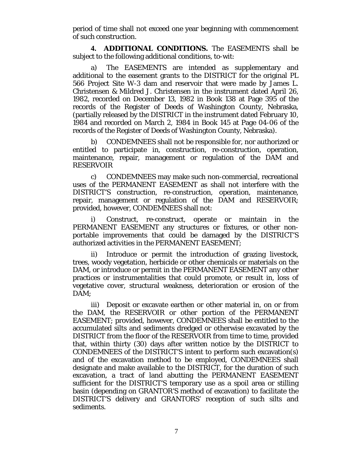period of time shall not exceed one year beginning with commencement of such construction.

**4. ADDITIONAL CONDITIONS.** The EASEMENTS shall be subject to the following additional conditions, to-wit:

a) The EASEMENTS are intended as supplementary and additional to the easement grants to the DISTRICT for the original PL 566 Project Site W-3 dam and reservoir that were made by James L. Christensen & Mildred J. Christensen in the instrument dated April 26, 1982, recorded on December 13, 1982 in Book 138 at Page 395 of the records of the Register of Deeds of Washington County, Nebraska, (partially released by the DISTRICT in the instrument dated February 10, 1984 and recorded on March 2, 1984 in Book 145 at Page 04-06 of the records of the Register of Deeds of Washington County, Nebraska).

b) CONDEMNEES shall not be responsible for, nor authorized or entitled to participate in, construction, re-construction, operation, maintenance, repair, management or regulation of the DAM and RESERVOIR

c) CONDEMNEES may make such non-commercial, recreational uses of the PERMANENT EASEMENT as shall not interfere with the DISTRICT'S construction, re-construction, operation, maintenance, repair, management or regulation of the DAM and RESERVOIR; provided, however, CONDEMNEES shall not:

i) Construct, re-construct, operate or maintain in the PERMANENT EASEMENT any structures or fixtures, or other nonportable improvements that could be damaged by the DISTRICT'S authorized activities in the PERMANENT EASEMENT;

ii) Introduce or permit the introduction of grazing livestock, trees, woody vegetation, herbicide or other chemicals or materials on the DAM, or introduce or permit in the PERMANENT EASEMENT any other practices or instrumentalities that could promote, or result in, loss of vegetative cover, structural weakness, deterioration or erosion of the DAM:

iii) Deposit or excavate earthen or other material in, on or from the DAM, the RESERVOIR or other portion of the PERMANENT EASEMENT; provided, however, CONDEMNEES shall be entitled to the accumulated silts and sediments dredged or otherwise excavated by the DISTRICT from the floor of the RESERVOIR from time to time, provided that, within thirty (30) days after written notice by the DISTRICT to CONDEMNEES of the DISTRICT'S intent to perform such excavation(s) and of the excavation method to be employed, CONDEMNEES shall designate and make available to the DISTRICT, for the duration of such excavation, a tract of land abutting the PERMANENT EASEMENT sufficient for the DISTRICT'S temporary use as a spoil area or stilling basin (depending on GRANTOR'S method of excavation) to facilitate the DISTRICT'S delivery and GRANTORS' reception of such silts and sediments.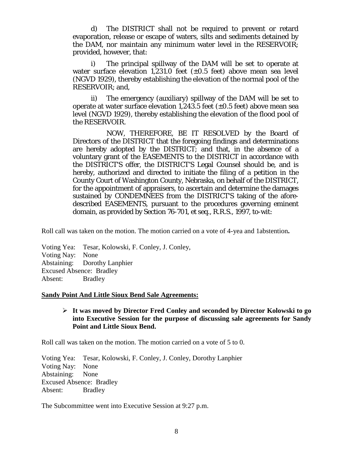d) The DISTRICT shall not be required to prevent or retard evaporation, release or escape of waters, silts and sediments detained by the DAM, nor maintain any minimum water level in the RESERVOIR; provided, however, that:

i) The principal spillway of the DAM will be set to operate at water surface elevation 1,231.0 feet  $(\pm 0.5 \text{ feet})$  above mean sea level (NGVD 1929), thereby establishing the elevation of the normal pool of the RESERVOIR; and,

ii) The emergency (auxiliary) spillway of the DAM will be set to operate at water surface elevation 1,243.5 feet  $(\pm 0.5$  feet) above mean sea level (NGVD 1929), thereby establishing the elevation of the flood pool of the RESERVOIR.

NOW, THEREFORE, BE IT RESOLVED by the Board of Directors of the DISTRICT that the foregoing findings and determinations are hereby adopted by the DISTRICT; and that, in the absence of a voluntary grant of the EASEMENTS to the DISTRICT in accordance with the DISTRICT'S offer, the DISTRICT'S Legal Counsel should be, and is hereby, authorized and directed to initiate the filing of a petition in the County Court of Washington County, Nebraska, on behalf of the DISTRICT, for the appointment of appraisers, to ascertain and determine the damages sustained by CONDEMNEES from the DISTRICT'S taking of the aforedescribed EASEMENTS, pursuant to the procedures governing eminent domain, as provided by Section 76-701, et seq., R.R.S., 1997, to-wit:

Roll call was taken on the motion. The motion carried on a vote of 4-yea and 1abstention**.**

Voting Yea: Tesar, Kolowski, F. Conley, J. Conley, Voting Nay: None Abstaining: Dorothy Lanphier Excused Absence: Bradley Absent: Bradley

#### **Sandy Point And Little Sioux Bend Sale Agreements:**

## **It was moved by Director Fred Conley and seconded by Director Kolowski to go into Executive Session for the purpose of discussing sale agreements for Sandy Point and Little Sioux Bend.**

Roll call was taken on the motion. The motion carried on a vote of 5 to 0.

Voting Yea: Tesar, Kolowski, F. Conley, J. Conley, Dorothy Lanphier Voting Nay: None Abstaining: None Excused Absence: Bradley Absent: Bradley

The Subcommittee went into Executive Session at 9:27 p.m.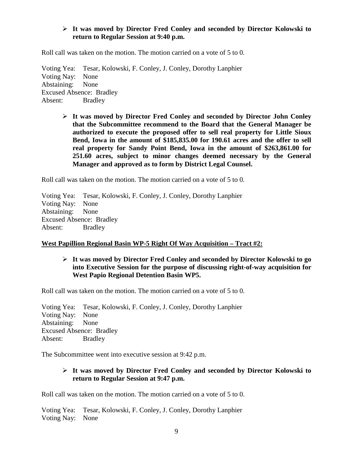# **It was moved by Director Fred Conley and seconded by Director Kolowski to return to Regular Session at 9:40 p.m.**

Roll call was taken on the motion. The motion carried on a vote of 5 to 0.

Voting Yea: Tesar, Kolowski, F. Conley, J. Conley, Dorothy Lanphier Voting Nay: None Abstaining: None Excused Absence: Bradley Absent: Bradley

> **It was moved by Director Fred Conley and seconded by Director John Conley that the Subcommittee recommend to the Board that the General Manager be authorized to execute the proposed offer to sell real property for Little Sioux Bend, Iowa in the amount of \$185,835.00 for 190.61 acres and the offer to sell real property for Sandy Point Bend, Iowa in the amount of \$263,861.00 for 251.60 acres, subject to minor changes deemed necessary by the General Manager and approved as to form by District Legal Counsel.**

Roll call was taken on the motion. The motion carried on a vote of 5 to 0.

Voting Yea: Tesar, Kolowski, F. Conley, J. Conley, Dorothy Lanphier Voting Nay: None Abstaining: None Excused Absence: Bradley Absent: Bradley

# **West Papillion Regional Basin WP-5 Right Of Way Acquisition – Tract #2:**

# **It was moved by Director Fred Conley and seconded by Director Kolowski to go into Executive Session for the purpose of discussing right-of-way acquisition for West Papio Regional Detention Basin WP5.**

Roll call was taken on the motion. The motion carried on a vote of 5 to 0.

Voting Yea: Tesar, Kolowski, F. Conley, J. Conley, Dorothy Lanphier Voting Nay: None Abstaining: None Excused Absence: Bradley Absent: Bradley

The Subcommittee went into executive session at 9:42 p.m.

# **It was moved by Director Fred Conley and seconded by Director Kolowski to return to Regular Session at 9:47 p.m.**

Roll call was taken on the motion. The motion carried on a vote of 5 to 0.

Voting Yea: Tesar, Kolowski, F. Conley, J. Conley, Dorothy Lanphier Voting Nay: None